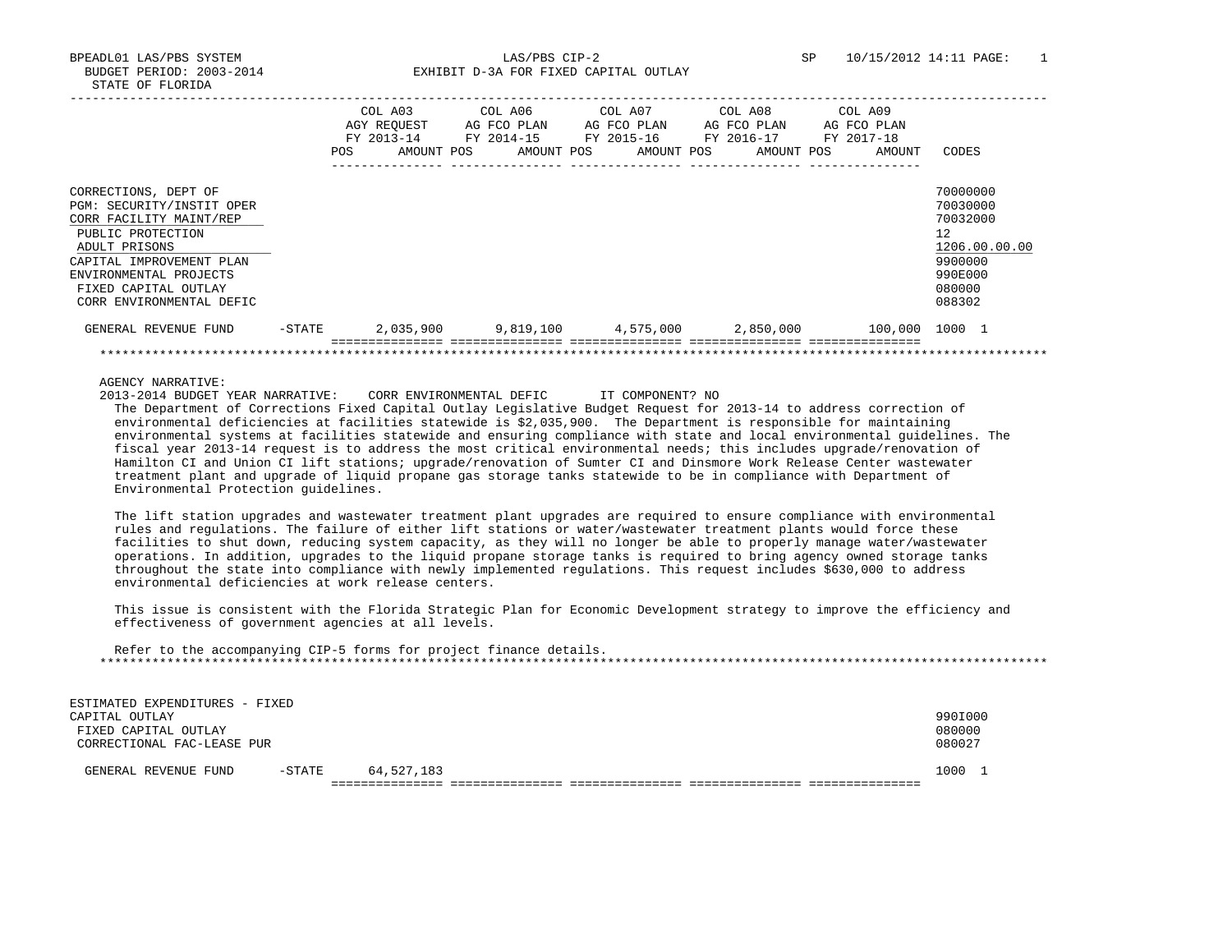BPEADL01 LAS/PBS SYSTEM LAS/PBS CIP-2 SP 10/15/2012 14:11 PAGE: 1 BUDGET PERIOD: 2003-2014 EXHIBIT D-3A FOR FIXED CAPITAL OUTLAY

|                           | <b>POS</b> | COL A03<br>AGY REOUEST<br>FY 2013-14<br>AMOUNT POS | COL A06<br>AG FCO PLAN<br>FY 2014-15<br>AMOUNT POS | COL A07<br>AG FCO PLAN<br>FY 2015-16 | AMOUNT POS | COL A08<br>AG FCO PLAN<br>FY 2016-17<br>AMOUNT POS | COL A09<br>AG FCO PLAN<br>FY 2017-18<br>AMOUNT | CODES         |
|---------------------------|------------|----------------------------------------------------|----------------------------------------------------|--------------------------------------|------------|----------------------------------------------------|------------------------------------------------|---------------|
|                           |            |                                                    |                                                    |                                      |            |                                                    |                                                |               |
| CORRECTIONS, DEPT OF      |            |                                                    |                                                    |                                      |            |                                                    |                                                | 70000000      |
| PGM: SECURITY/INSTIT OPER |            |                                                    |                                                    |                                      |            |                                                    |                                                | 70030000      |
| CORR FACILITY MAINT/REP   |            |                                                    |                                                    |                                      |            |                                                    |                                                | 70032000      |
| PUBLIC PROTECTION         |            |                                                    |                                                    |                                      |            |                                                    |                                                | 12            |
| ADULT PRISONS             |            |                                                    |                                                    |                                      |            |                                                    |                                                | 1206.00.00.00 |
| CAPITAL IMPROVEMENT PLAN  |            |                                                    |                                                    |                                      |            |                                                    |                                                | 9900000       |
| ENVIRONMENTAL PROJECTS    |            |                                                    |                                                    |                                      |            |                                                    |                                                | 990E000       |
| FIXED CAPITAL OUTLAY      |            |                                                    |                                                    |                                      |            |                                                    |                                                | 080000        |
| CORR ENVIRONMENTAL DEFIC  |            |                                                    |                                                    |                                      |            |                                                    |                                                | 088302        |
| GENERAL REVENUE FUND      | $-$ STATE  | 2,035,900                                          | 9,819,100                                          |                                      | 4,575,000  | 2,850,000                                          | 100,000                                        | 1000 1        |
|                           |            |                                                    |                                                    |                                      |            |                                                    |                                                |               |

AGENCY NARRATIVE:

ESTIMATED EXPENDITURES - FIXED

2013-2014 BUDGET YEAR NARRATIVE: CORR ENVIRONMENTAL DEFIC IT COMPONENT? NO

 The Department of Corrections Fixed Capital Outlay Legislative Budget Request for 2013-14 to address correction of environmental deficiencies at facilities statewide is \$2,035,900. The Department is responsible for maintaining environmental systems at facilities statewide and ensuring compliance with state and local environmental guidelines. The fiscal year 2013-14 request is to address the most critical environmental needs; this includes upgrade/renovation of Hamilton CI and Union CI lift stations; upgrade/renovation of Sumter CI and Dinsmore Work Release Center wastewater treatment plant and upgrade of liquid propane gas storage tanks statewide to be in compliance with Department of Environmental Protection guidelines.

 The lift station upgrades and wastewater treatment plant upgrades are required to ensure compliance with environmental rules and regulations. The failure of either lift stations or water/wastewater treatment plants would force these facilities to shut down, reducing system capacity, as they will no longer be able to properly manage water/wastewater operations. In addition, upgrades to the liquid propane storage tanks is required to bring agency owned storage tanks throughout the state into compliance with newly implemented regulations. This request includes \$630,000 to address environmental deficiencies at work release centers.

 This issue is consistent with the Florida Strategic Plan for Economic Development strategy to improve the efficiency and effectiveness of government agencies at all levels.

| Refer to the accompanying CIP-5 forms for project finance details. |  |  |
|--------------------------------------------------------------------|--|--|
|                                                                    |  |  |
|                                                                    |  |  |

| -----<br>CAPITAL OUTLAY<br>FIXED CAPITAL OUTLAY<br>CORRECTIONAL FAC-LEASE PUR | 990I000<br>080000<br>080027 |  |
|-------------------------------------------------------------------------------|-----------------------------|--|
| 64,527,183<br>-STATE<br>GENERAL REVENUE FUND                                  | 1000 1                      |  |